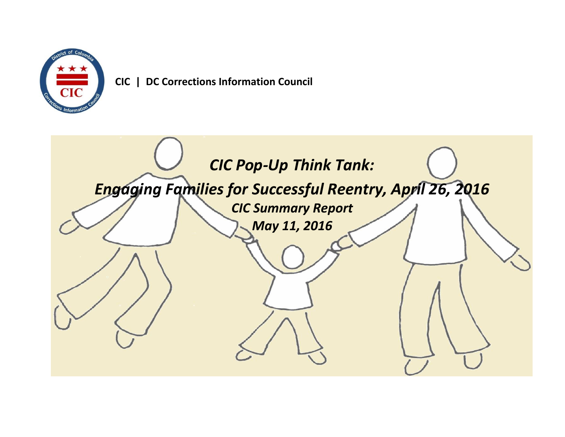

 **CIC | DC Corrections Information Council**

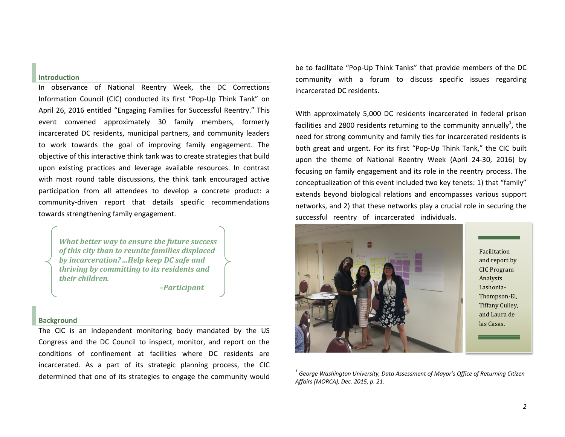## **Introduction**

In observance of National Reentry Week, the DC Corrections Information Council (CIC) conducted its first "Pop-Up Think Tank" on April 26, 2016 entitled "Engaging Families for Successful Reentry." This event convened approximately 30 family members, formerly incarcerated DC residents, municipal partners, and community leaders to work towards the goal of improving family engagement. The objective of this interactive think tank was to create strategies that build upon existing practices and leverage available resources. In contrast with most round table discussions, the think tank encouraged active participation from all attendees to develop a concrete product: a community-driven report that details specific recommendations towards strengthening family engagement.

*What better way to ensure the future success of this city than to reunite families displaced by incarceration? ...Help keep DC safe and thriving by committing to its residents and their children.* 

 *–Participant*

## **Background**

The CIC is an independent monitoring body mandated by the US Congress and the DC Council to inspect, monitor, and report on the conditions of confinement at facilities where DC residents are incarcerated. As a part of its strategic planning process, the CIC determined that one of its strategies to engage the community would

be to facilitate "Pop-Up Think Tanks" that provide members of the DC community with a forum to discuss specific issues regarding incarcerated DC residents.

With approximately 5,000 DC residents incarcerated in federal prison facilities and 2800 residents returning to the community annually<sup>1</sup>, the need for strong community and family ties for incarcerated residents is both great and urgent. For its first "Pop-Up Think Tank," the CIC built upon the theme of National Reentry Week (April 24-30, 2016) by focusing on family engagement and its role in the reentry process. The conceptualization of this event included two key tenets: 1) that "family" extends beyond biological relations and encompasses various support networks, and 2) that these networks play a crucial role in securing the successful reentry of incarcerated individuals.



*<sup>1</sup> George Washington University, Data Assessment of Mayor's Office of Returning Citizen Affairs (MORCA), Dec. 2015, p. 21.*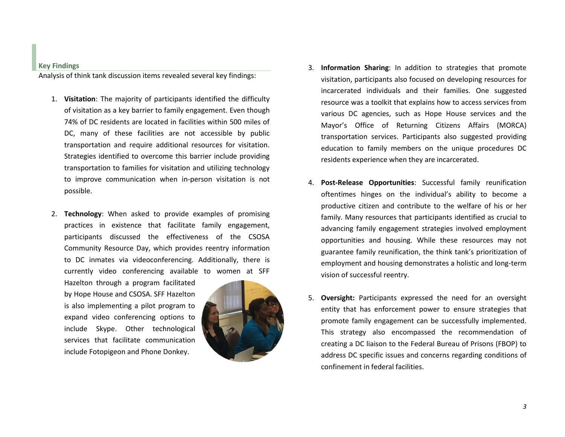**Key Findings**

Analysis of think tank discussion items revealed several key findings:

- 1. **Visitation**: The majority of participants identified the difficulty of visitation as a key barrier to family engagement. Even though 74% of DC residents are located in facilities within 500 miles of DC, many of these facilities are not accessible by public transportation and require additional resources for visitation. Strategies identified to overcome this barrier include providing transportation to families for visitation and utilizing technology to improve communication when in-person visitation is not possible.
- 2. **Technology**: When asked to provide examples of promising practices in existence that facilitate family engagement, participants discussed the effectiveness of the CSOSA Community Resource Day, which provides reentry information to DC inmates via videoconferencing. Additionally, there is currently video conferencing available to women at SFF

Hazelton through a program facilitated by Hope House and CSOSA. SFF Hazelton is also implementing a pilot program to expand video conferencing options to include Skype. Other technological services that facilitate communication include Fotopigeon and Phone Donkey.



- 3. **Information Sharing**: In addition to strategies that promote visitation, participants also focused on developing resources for incarcerated individuals and their families. One suggested resource was a toolkit that explains how to access services from various DC agencies, such as Hope House services and the Mayor's Office of Returning Citizens Affairs (MORCA) transportation services. Participants also suggested providing education to family members on the unique procedures DC residents experience when they are incarcerated.
- 4. **Post-Release Opportunities**: Successful family reunification oftentimes hinges on the individual's ability to become a productive citizen and contribute to the welfare of his or her family. Many resources that participants identified as crucial to advancing family engagement strategies involved employment opportunities and housing. While these resources may not guarantee family reunification, the think tank's prioritization of employment and housing demonstrates a holistic and long-term vision of successful reentry.
- 5. **Oversight:** Participants expressed the need for an oversight entity that has enforcement power to ensure strategies that promote family engagement can be successfully implemented. This strategy also encompassed the recommendation of creating a DC liaison to the Federal Bureau of Prisons (FBOP) to address DC specific issues and concerns regarding conditions of confinement in federal facilities.